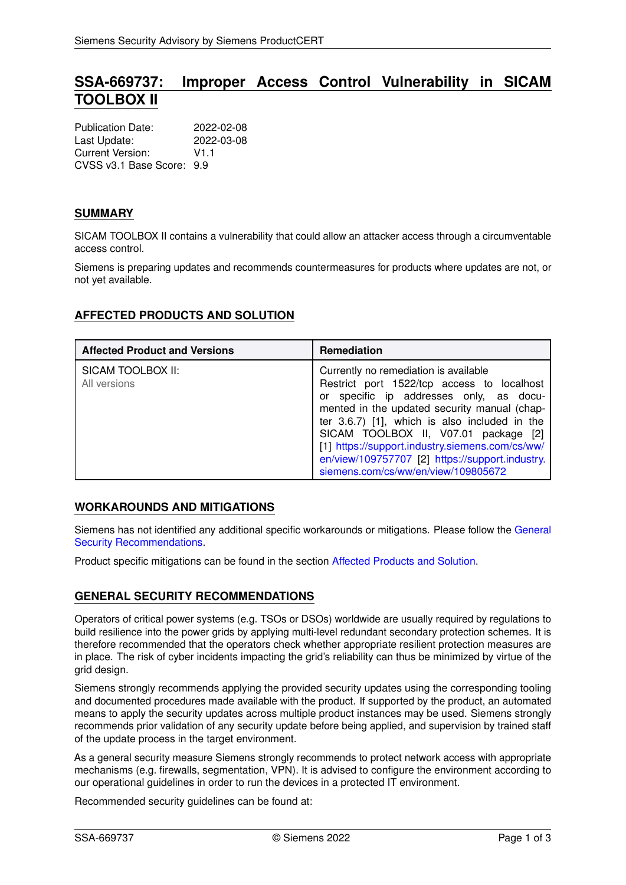# **SSA-669737: Improper Access Control Vulnerability in SICAM TOOLBOX II**

| <b>Publication Date:</b>  | 2022-02-08 |
|---------------------------|------------|
| Last Update:              | 2022-03-08 |
| Current Version:          | V1 1       |
| CVSS v3.1 Base Score: 9.9 |            |

## **SUMMARY**

SICAM TOOLBOX II contains a vulnerability that could allow an attacker access through a circumventable access control.

Siemens is preparing updates and recommends countermeasures for products where updates are not, or not yet available.

# <span id="page-0-1"></span>**AFFECTED PRODUCTS AND SOLUTION**

| <b>Affected Product and Versions</b> | <b>Remediation</b>                                                                                                                                                                                                                                                                                                                                                                                                   |
|--------------------------------------|----------------------------------------------------------------------------------------------------------------------------------------------------------------------------------------------------------------------------------------------------------------------------------------------------------------------------------------------------------------------------------------------------------------------|
| SICAM TOOLBOX II:<br>All versions    | Currently no remediation is available<br>Restrict port 1522/tcp access to localhost<br>or specific ip addresses only, as docu-<br>mented in the updated security manual (chap-<br>ter 3.6.7) [1], which is also included in the<br>SICAM TOOLBOX II, V07.01 package [2]<br>[1] https://support.industry.siemens.com/cs/ww/<br>en/view/109757707 [2] https://support.industry.<br>siemens.com/cs/ww/en/view/109805672 |

### **WORKAROUNDS AND MITIGATIONS**

Siemens has not identified any additional specific workarounds or mitigations. Please follow the [General](#page-0-0) [Security Recommendations.](#page-0-0)

<span id="page-0-0"></span>Product specific mitigations can be found in the section [Affected Products and Solution.](#page-0-1)

### **GENERAL SECURITY RECOMMENDATIONS**

Operators of critical power systems (e.g. TSOs or DSOs) worldwide are usually required by regulations to build resilience into the power grids by applying multi-level redundant secondary protection schemes. It is therefore recommended that the operators check whether appropriate resilient protection measures are in place. The risk of cyber incidents impacting the grid's reliability can thus be minimized by virtue of the grid design.

Siemens strongly recommends applying the provided security updates using the corresponding tooling and documented procedures made available with the product. If supported by the product, an automated means to apply the security updates across multiple product instances may be used. Siemens strongly recommends prior validation of any security update before being applied, and supervision by trained staff of the update process in the target environment.

As a general security measure Siemens strongly recommends to protect network access with appropriate mechanisms (e.g. firewalls, segmentation, VPN). It is advised to configure the environment according to our operational guidelines in order to run the devices in a protected IT environment.

Recommended security guidelines can be found at: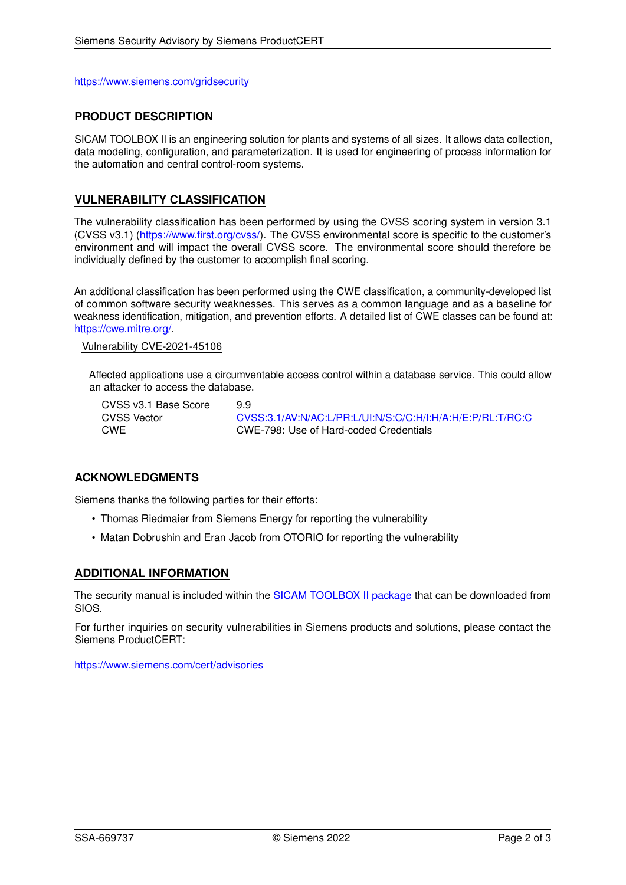<https://www.siemens.com/gridsecurity>

## **PRODUCT DESCRIPTION**

SICAM TOOLBOX II is an engineering solution for plants and systems of all sizes. It allows data collection, data modeling, configuration, and parameterization. It is used for engineering of process information for the automation and central control-room systems.

## **VULNERABILITY CLASSIFICATION**

The vulnerability classification has been performed by using the CVSS scoring system in version 3.1 (CVSS v3.1) [\(https://www.first.org/cvss/\)](https://www.first.org/cvss/). The CVSS environmental score is specific to the customer's environment and will impact the overall CVSS score. The environmental score should therefore be individually defined by the customer to accomplish final scoring.

An additional classification has been performed using the CWE classification, a community-developed list of common software security weaknesses. This serves as a common language and as a baseline for weakness identification, mitigation, and prevention efforts. A detailed list of CWE classes can be found at: [https://cwe.mitre.org/.](https://cwe.mitre.org/)

Vulnerability CVE-2021-45106

Affected applications use a circumventable access control within a database service. This could allow an attacker to access the database.

CVSS v3.1 Base Score 9.9

CVSS Vector [CVSS:3.1/AV:N/AC:L/PR:L/UI:N/S:C/C:H/I:H/A:H/E:P/RL:T/RC:C](https://www.first.org/cvss/calculator/3.1#CVSS:3.1/AV:N/AC:L/PR:L/UI:N/S:C/C:H/I:H/A:H/E:P/RL:T/RC:C) CWE CWE-798: Use of Hard-coded Credentials

### **ACKNOWLEDGMENTS**

Siemens thanks the following parties for their efforts:

- Thomas Riedmaier from Siemens Energy for reporting the vulnerability
- Matan Dobrushin and Eran Jacob from OTORIO for reporting the vulnerability

### **ADDITIONAL INFORMATION**

The security manual is included within the [SICAM TOOLBOX II package](https://support.industry.siemens.com/cs/ww/en/view/109805672) that can be downloaded from SIOS.

For further inquiries on security vulnerabilities in Siemens products and solutions, please contact the Siemens ProductCERT:

<https://www.siemens.com/cert/advisories>